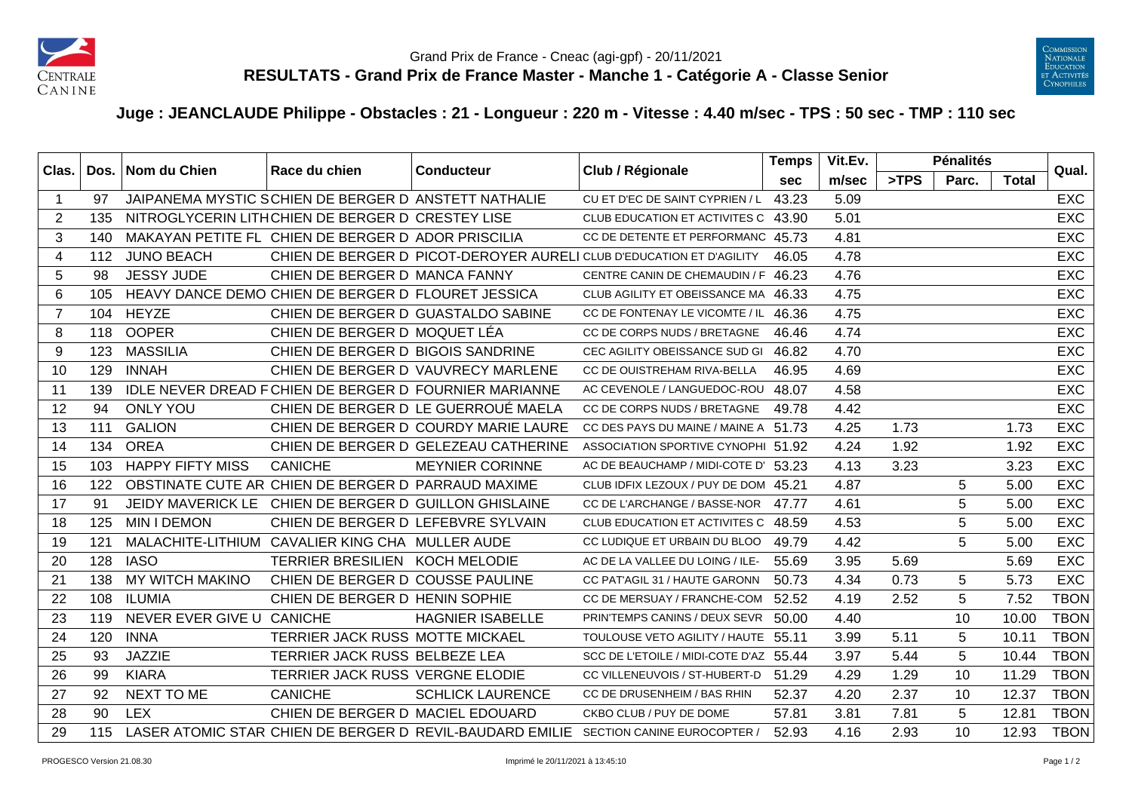



## **Juge : JEANCLAUDE Philippe - Obstacles : 21 - Longueur : 220 m - Vitesse : 4.40 m/sec - TPS : 50 sec - TMP : 110 sec**

| Clas.          |     | Dos.   Nom du Chien       | Race du chien                                         | <b>Conducteur</b>                                        | Club / Régionale                                                      | <b>Temps</b> | Vit.Ev. |      | <b>Pénalités</b> |              | Qual.       |
|----------------|-----|---------------------------|-------------------------------------------------------|----------------------------------------------------------|-----------------------------------------------------------------------|--------------|---------|------|------------------|--------------|-------------|
|                |     |                           |                                                       |                                                          |                                                                       | sec          | m/sec   | >TPS | Parc.            | <b>Total</b> |             |
| -1             | 97  |                           | JAIPANEMA MYSTIC SCHIEN DE BERGER D ANSTETT NATHALIE  |                                                          | CU ET D'EC DE SAINT CYPRIEN / L                                       | 43.23        | 5.09    |      |                  |              | <b>EXC</b>  |
| $\overline{2}$ | 135 |                           | NITROGLYCERIN LITH CHIEN DE BERGER D CRESTEY LISE     |                                                          | CLUB EDUCATION ET ACTIVITES C 43.90                                   |              | 5.01    |      |                  |              | <b>EXC</b>  |
| 3              | 140 |                           | MAKAYAN PETITE FL CHIEN DE BERGER D ADOR PRISCILIA    |                                                          | CC DE DETENTE ET PERFORMANC 45.73                                     |              | 4.81    |      |                  |              | <b>EXC</b>  |
| $\overline{4}$ | 112 | <b>JUNO BEACH</b>         |                                                       |                                                          | CHIEN DE BERGER D. PICOT-DEROYER AURELI CLUB D'EDUCATION ET D'AGILITY | 46.05        | 4.78    |      |                  |              | <b>EXC</b>  |
| 5              | 98  | <b>JESSY JUDE</b>         | CHIEN DE BERGER D MANCA FANNY                         |                                                          | CENTRE CANIN DE CHEMAUDIN / F 46.23                                   |              | 4.76    |      |                  |              | <b>EXC</b>  |
| 6              | 105 |                           | HEAVY DANCE DEMO CHIEN DE BERGER D FLOURET JESSICA    |                                                          | CLUB AGILITY ET OBEISSANCE MA 46.33                                   |              | 4.75    |      |                  |              | <b>EXC</b>  |
| $\overline{7}$ | 104 | <b>HEYZE</b>              |                                                       | CHIEN DE BERGER D GUASTALDO SABINE                       | CC DE FONTENAY LE VICOMTE / IL                                        | 46.36        | 4.75    |      |                  |              | <b>EXC</b>  |
| 8              | 118 | <b>OOPER</b>              | CHIEN DE BERGER D MOQUET LÉA                          |                                                          | CC DE CORPS NUDS / BRETAGNE                                           | 46.46        | 4.74    |      |                  |              | <b>EXC</b>  |
| 9              | 123 | <b>MASSILIA</b>           | CHIEN DE BERGER D BIGOIS SANDRINE                     |                                                          | CEC AGILITY OBEISSANCE SUD GI                                         | 46.82        | 4.70    |      |                  |              | <b>EXC</b>  |
| 10             | 129 | <b>INNAH</b>              |                                                       | CHIEN DE BERGER D VAUVRECY MARLENE                       | CC DE OUISTREHAM RIVA-BELLA                                           | 46.95        | 4.69    |      |                  |              | <b>EXC</b>  |
| 11             | 139 |                           |                                                       | IDLE NEVER DREAD FCHIEN DE BERGER D FOURNIER MARIANNE    | AC CEVENOLE / LANGUEDOC-ROU 48.07                                     |              | 4.58    |      |                  |              | <b>EXC</b>  |
| 12             | 94  | <b>ONLY YOU</b>           |                                                       | CHIEN DE BERGER D LE GUERROUÉ MAELA                      | CC DE CORPS NUDS / BRETAGNE                                           | 49.78        | 4.42    |      |                  |              | <b>EXC</b>  |
| 13             | 111 | <b>GALION</b>             |                                                       | CHIEN DE BERGER D COURDY MARIE LAURE                     | CC DES PAYS DU MAINE / MAINE A 51.73                                  |              | 4.25    | 1.73 |                  | 1.73         | <b>EXC</b>  |
| 14             | 134 | <b>OREA</b>               |                                                       | CHIEN DE BERGER D GELEZEAU CATHERINE                     | ASSOCIATION SPORTIVE CYNOPHI 51.92                                    |              | 4.24    | 1.92 |                  | 1.92         | <b>EXC</b>  |
| 15             | 103 | <b>HAPPY FIFTY MISS</b>   | <b>CANICHE</b>                                        | <b>MEYNIER CORINNE</b>                                   | AC DE BEAUCHAMP / MIDI-COTE D' 53.23                                  |              | 4.13    | 3.23 |                  | 3.23         | <b>EXC</b>  |
| 16             | 122 |                           | OBSTINATE CUTE AR CHIEN DE BERGER D PARRAUD MAXIME    |                                                          | CLUB IDFIX LEZOUX / PUY DE DOM 45.21                                  |              | 4.87    |      | 5                | 5.00         | <b>EXC</b>  |
| 17             | 91  |                           | JEIDY MAVERICK LE CHIEN DE BERGER D GUILLON GHISLAINE |                                                          | CC DE L'ARCHANGE / BASSE-NOR                                          | 47.77        | 4.61    |      | 5                | 5.00         | <b>EXC</b>  |
| 18             | 125 | <b>MIN I DEMON</b>        | CHIEN DE BERGER D LEFEBVRE SYLVAIN                    |                                                          | CLUB EDUCATION ET ACTIVITES C                                         | 48.59        | 4.53    |      | 5                | 5.00         | <b>EXC</b>  |
| 19             | 121 |                           | MALACHITE-LITHIUM CAVALIER KING CHA MULLER AUDE       |                                                          | CC LUDIQUE ET URBAIN DU BLOO                                          | 49.79        | 4.42    |      | 5                | 5.00         | <b>EXC</b>  |
| 20             | 128 | <b>IASO</b>               | TERRIER BRESILIEN KOCH MELODIE                        |                                                          | AC DE LA VALLEE DU LOING / ILE-                                       | 55.69        | 3.95    | 5.69 |                  | 5.69         | <b>EXC</b>  |
| 21             | 138 | MY WITCH MAKINO           | CHIEN DE BERGER D COUSSE PAULINE                      |                                                          | CC PAT'AGIL 31 / HAUTE GARONN                                         | 50.73        | 4.34    | 0.73 | 5                | 5.73         | <b>EXC</b>  |
| 22             | 108 | <b>ILUMIA</b>             | CHIEN DE BERGER D HENIN SOPHIE                        |                                                          | CC DE MERSUAY / FRANCHE-COM                                           | 52.52        | 4.19    | 2.52 | 5                | 7.52         | <b>TBON</b> |
| 23             | 119 | NEVER EVER GIVE U CANICHE |                                                       | <b>HAGNIER ISABELLE</b>                                  | PRIN'TEMPS CANINS / DEUX SEVR                                         | 50.00        | 4.40    |      | 10               | 10.00        | <b>TBON</b> |
| 24             | 120 | <b>INNA</b>               | TERRIER JACK RUSS MOTTE MICKAEL                       |                                                          | TOULOUSE VETO AGILITY / HAUTE 55.11                                   |              | 3.99    | 5.11 | 5                | 10.11        | <b>TBON</b> |
| 25             | 93  | <b>JAZZIE</b>             | TERRIER JACK RUSS BELBEZE LEA                         |                                                          | SCC DE L'ETOILE / MIDI-COTE D'AZ 55.44                                |              | 3.97    | 5.44 | 5                | 10.44        | <b>TBON</b> |
| 26             | 99  | <b>KIARA</b>              | TERRIER JACK RUSS VERGNE ELODIE                       |                                                          | CC VILLENEUVOIS / ST-HUBERT-D                                         | 51.29        | 4.29    | 1.29 | 10               | 11.29        | <b>TBON</b> |
| 27             | 92  | <b>NEXT TO ME</b>         | <b>CANICHE</b>                                        | <b>SCHLICK LAURENCE</b>                                  | CC DE DRUSENHEIM / BAS RHIN                                           | 52.37        | 4.20    | 2.37 | 10               | 12.37        | <b>TBON</b> |
| 28             | 90  | <b>LEX</b>                | CHIEN DE BERGER D MACIEL EDOUARD                      |                                                          | CKBO CLUB / PUY DE DOME                                               | 57.81        | 3.81    | 7.81 | 5                | 12.81        | <b>TBON</b> |
| 29             | 115 |                           |                                                       | LASER ATOMIC STAR CHIEN DE BERGER D REVIL-BAUDARD EMILIE | SECTION CANINE EUROCOPTER /                                           | 52.93        | 4.16    | 2.93 | 10               | 12.93        | <b>TBON</b> |